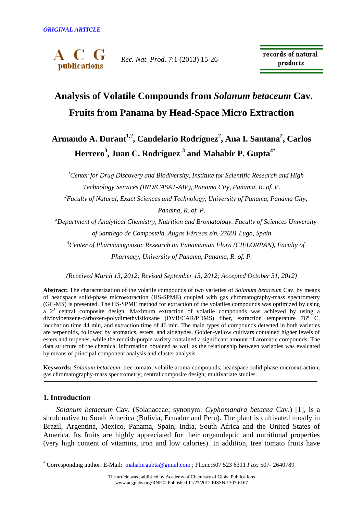

*Rec. Nat. Prod*. 7:1 (2013) 15-26

records of natural products

# **Analysis of Volatile Compounds from** *Solanum betaceum* **Cav. Fruits from Panama by Head-Space Micro Extraction**

## **Armando A. Durant1,2, Candelario Rodríguez<sup>2</sup> , Ana I. Santana<sup>2</sup> , Carlos Herrero<sup>3</sup> , Juan C. Rodríguez <sup>3</sup> and Mahabir P. Gupta4\***

*<sup>1</sup>Center for Drug Discovery and Biodiversity, Institute for Scientific Research and High Technology Services (INDICASAT-AIP), Panama City, Panama, R. of. P. <sup>2</sup>Faculty of Natural, Exact Sciences and Technology, University of Panama, Panama City,* 

*Panama, R. of. P.* 

*<sup>3</sup>Department of Analytical Chemistry, Nutrition and Bromatology. Faculty of Sciences University of Santiago de Compostela. Augas Férreas s/n. 27001 Lugo, Spain <sup>4</sup>Center of Pharmacognostic Research on Panamanian Flora (CIFLORPAN), Faculty of Pharmacy, University of Panama, Panama, R. of. P.* 

*(Received March 13, 2012; Revised September 13, 2012; Accepted October 31, 2012)* 

**Abstract:** The characterization of the volatile compounds of two varieties of *Solanum betaceum* Cav. by means of headspace solid-phase microextraction (HS-SPME) coupled with gas chromatography-mass spectrometry (GC-MS) is presented. The HS-SPME method for extraction of the volatiles compounds was optimized by using a  $2<sup>3</sup>$  central composite design. Maximum extraction of volatile compounds was achieved by using a divinylbenzene-carboxen-polydimethylsiloxane (DVB/CAR/PDMS) fiber, extraction temperature 76° C, incubation time 44 min, and extraction time of 46 min. The main types of compounds detected in both varieties are terpenoids, followed by aromatics, esters, and aldehydes. Golden-yellow cultivars contained higher levels of esters and terpenes, while the reddish-purple variety contained a significant amount of aromatic compounds. The data structure of the chemical information obtained as well as the relationship between variables was evaluated by means of principal component analysis and cluster analysis.

**Keywords:** *Solanum betaceum*; tree tomato; volatile aroma compounds; headspace-solid phase microextraction; gas chromatography-mass spectrometry; central composite design; multivariate studies.

## **1. Introduction**

 $\overline{a}$ 

*Solanum betaceum* Cav. (Solanaceae; synonym: *Cyphomandra betacea* Cav.) [1], is a shrub native to South America (Bolivia, Ecuador and Peru). The plant is cultivated mostly in Brazil, Argentina, Mexico, Panama, Spain, India, South Africa and the United States of America. Its fruits are highly appreciated for their organoleptic and nutritional properties (very high content of vitamins, iron and low calories). In addition, tree tomato fruits have

<sup>\*</sup> Corresponding author: E-Mail: mahabirgubta@gmail.com ; Phone:507 523 6311 *Fax:* 507- 2640789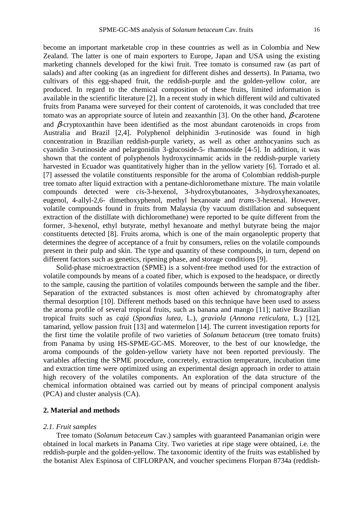become an important marketable crop in these countries as well as in Colombia and New Zealand. The latter is one of main exporters to Europe, Japan and USA using the existing marketing channels developed for the kiwi fruit. Tree tomato is consumed raw (as part of salads) and after cooking (as an ingredient for different dishes and desserts). In Panama, two cultivars of this egg-shaped fruit, the reddish-purple and the golden-yellow color, are produced. In regard to the chemical composition of these fruits, limited information is available in the scientific literature [2]. In a recent study in which different wild and cultivated fruits from Panama were surveyed for their content of carotenoids, it was concluded that tree tomato was an appropriate source of lutein and zeaxanthin [3]. On the other hand,  $\beta$ -carotene and β*-*cryptoxanthin have been identified as the most abundant carotenoids in crops from Australia and Brazil [2,4]. Polyphenol delphinidin 3-rutinoside was found in high concentration in Brazilian reddish-purple variety, as well as other anthocyanins such as cyanidin 3-rutinoside and pelargonidin 3-glucoside-5- rhamnoside [4-5]. In addition, it was shown that the content of polyphenols hydroxycinnamic acids in the reddish-purple variety harvested in Ecuador was quantitatively higher than in the yellow variety [6]. Torrado et al. [7] assessed the volatile constituents responsible for the aroma of Colombian reddish-purple tree tomato after liquid extraction with a pentane-dichloromethane mixture. The main volatile compounds detected were *cis*-3-hexenol, 3-hydroxybutanoates, 3-hydroxyhexanoates, eugenol, 4-allyl-2,6- dimethoxyphenol, methyl hexanoate and *trans*-3-hexenal. However, volatile compounds found in fruits from Malaysia (by vacuum distillation and subsequent extraction of the distillate with dichloromethane) were reported to be quite different from the former, 3-hexenol, ethyl butyrate, methyl hexanoate and methyl butyrate being the major constituents detected [8]. Fruits aroma, which is one of the main organoleptic property that determines the degree of acceptance of a fruit by consumers, relies on the volatile compounds present in their pulp and skin. The type and quantity of these compounds, in turn, depend on different factors such as genetics, ripening phase, and storage conditions [9].

Solid-phase microextraction (SPME) is a solvent-free method used for the extraction of volatile compounds by means of a coated fiber, which is exposed to the headspace, or directly to the sample, causing the partition of volatiles compounds between the sample and the fiber. Separation of the extracted substances is most often achieved by chromatography after thermal desorption [10]. Different methods based on this technique have been used to assess the aroma profile of several tropical fruits, such as banana and mango [11]; native Brazilian tropical fruits such as *cajá* (*Spondias lutea,* L.), *graviola* (*Annona reticulata*, L.) [12], tamarind, yellow passion fruit [13] and watermelon [14]. The current investigation reports for the first time the volatile profile of two varieties of *Solanum betaceum* (tree tomato fruits) from Panama by using HS-SPME-GC-MS. Moreover, to the best of our knowledge, the aroma compounds of the golden-yellow variety have not been reported previously. The variables affecting the SPME procedure, concretely, extraction temperature, incubation time and extraction time were optimized using an experimental design approach in order to attain high recovery of the volatiles components. An exploration of the data structure of the chemical information obtained was carried out by means of principal component analysis (PCA) and cluster analysis (CA).

## **2. Material and methods**

### *2.1. Fruit samples*

Tree tomato (*Solanum betaceum* Cav.) samples with guaranteed Panamanian origin were obtained in local markets in Panama City. Two varieties at ripe stage were obtained, i.e. the reddish-purple and the golden-yellow. The taxonomic identity of the fruits was established by the botanist Alex Espinosa of CIFLORPAN, and voucher specimens Florpan 8734a (reddish-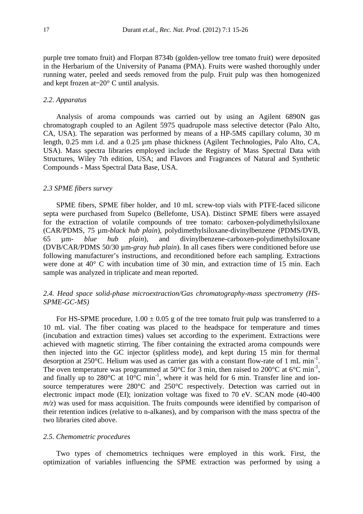purple tree tomato fruit) and Florpan 8734b (golden-yellow tree tomato fruit) were deposited in the Herbarium of the University of Panama (PMA). Fruits were washed thoroughly under running water, peeled and seeds removed from the pulp. Fruit pulp was then homogenized and kept frozen at  $-20^{\circ}$  C until analysis.

## *2.2. Apparatus*

Analysis of aroma compounds was carried out by using an Agilent 6890N gas chromatograph coupled to an Agilent 5975 quadrupole mass selective detector (Palo Alto, CA, USA). The separation was performed by means of a HP-5MS capillary column, 30 m length, 0.25 mm i.d. and a 0.25 µm phase thickness (Agilent Technologies, Palo Alto, CA, USA). Mass spectra libraries employed include the Registry of Mass Spectral Data with Structures, Wiley 7th edition, USA; and Flavors and Fragrances of Natural and Synthetic Compounds - Mass Spectral Data Base, USA.

#### *2.3 SPME fibers survey*

SPME fibers, SPME fiber holder, and 10 mL screw-top vials with PTFE-faced silicone septa were purchased from Supelco (Bellefonte, USA). Distinct SPME fibers were assayed for the extraction of volatile compounds of tree tomato: carboxen-polydimethylsiloxane (CAR/PDMS, 75 µm-*black hub plain*), polydimethylsiloxane-divinylbenzene (PDMS/DVB, 65 µm- *blue hub plain*), and divinylbenzene-carboxen-polydimethylsiloxane (DVB/CAR/PDMS 50/30 µm-*gray hub plain*). In all cases fibers were conditioned before use following manufacturer's instructions, and reconditioned before each sampling. Extractions were done at 40° C with incubation time of 30 min, and extraction time of 15 min. Each sample was analyzed in triplicate and mean reported.

## *2.4. Head space solid-phase microextraction/Gas chromatography-mass spectrometry (HS-SPME-GC-MS)*

For HS-SPME procedure,  $1.00 \pm 0.05$  g of the tree tomato fruit pulp was transferred to a 10 mL vial. The fiber coating was placed to the headspace for temperature and times (incubation and extraction times) values set according to the experiment. Extractions were achieved with magnetic stirring. The fiber containing the extracted aroma compounds were then injected into the GC injector (splitless mode), and kept during 15 min for thermal desorption at 250°C. Helium was used as carrier gas with a constant flow-rate of 1 mL min<sup>-1</sup>. The oven temperature was programmed at 50 $\degree$ C for 3 min, then raised to 200 $\degree$ C at 6 $\degree$ C min<sup>-1</sup>, and finally up to 280 $^{\circ}$ C at  $10^{^{\circ}$ C min<sup>-1</sup>, where it was held for 6 min. Transfer line and ionsource temperatures were 280°C and 250°C respectively. Detection was carried out in electronic impact mode (EI); ionization voltage was fixed to 70 eV. SCAN mode (40-400  $m/z$ ) was used for mass acquisition. The fruits compounds were identified by comparison of their retention indices (relative to n-alkanes), and by comparison with the mass spectra of the two libraries cited above.

#### *2.5. Chemometric procedures*

Two types of chemometrics techniques were employed in this work. First, the optimization of variables influencing the SPME extraction was performed by using a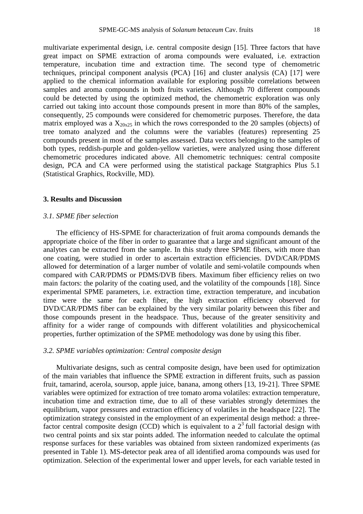multivariate experimental design, i.e. central composite design [15]. Three factors that have great impact on SPME extraction of aroma compounds were evaluated, i.e. extraction temperature, incubation time and extraction time. The second type of chemometric techniques, principal component analysis (PCA) [16] and cluster analysis (CA) [17] were applied to the chemical information available for exploring possible correlations between samples and aroma compounds in both fruits varieties. Although 70 different compounds could be detected by using the optimized method, the chemometric exploration was only carried out taking into account those compounds present in more than 80% of the samples, consequently, 25 compounds were considered for chemometric purposes. Therefore, the data matrix employed was a  $X_{20x25}$  in which the rows corresponded to the 20 samples (objects) of tree tomato analyzed and the columns were the variables (features) representing 25 compounds present in most of the samples assessed. Data vectors belonging to the samples of both types, reddish-purple and golden-yellow varieties, were analyzed using those different chemometric procedures indicated above. All chemometric techniques: central composite design, PCA and CA were performed using the statistical package Statgraphics Plus 5.1 (Statistical Graphics, Rockville, MD).

## **3. Results and Discussion**

#### *3.1. SPME fiber selection*

The efficiency of HS-SPME for characterization of fruit aroma compounds demands the appropriate choice of the fiber in order to guarantee that a large and significant amount of the analytes can be extracted from the sample. In this study three SPME fibers, with more than one coating, were studied in order to ascertain extraction efficiencies. DVD/CAR/PDMS allowed for determination of a larger number of volatile and semi-volatile compounds when compared with CAR/PDMS or PDMS/DVB fibers. Maximum fiber efficiency relies on two main factors: the polarity of the coating used, and the volatility of the compounds [18]. Since experimental SPME parameters, i.e. extraction time, extraction temperature, and incubation time were the same for each fiber, the high extraction efficiency observed for DVD/CAR/PDMS fiber can be explained by the very similar polarity between this fiber and those compounds present in the headspace. Thus, because of the greater sensitivity and affinity for a wider range of compounds with different volatilities and physicochemical properties, further optimization of the SPME methodology was done by using this fiber.

## *3.2. SPME variables optimization: Central composite design*

Multivariate designs, such as central composite design, have been used for optimization of the main variables that influence the SPME extraction in different fruits, such as passion fruit, tamarind, acerola, soursop, apple juice, banana, among others [13, 19-21]. Three SPME variables were optimized for extraction of tree tomato aroma volatiles: extraction temperature, incubation time and extraction time, due to all of these variables strongly determines the equilibrium, vapor pressures and extraction efficiency of volatiles in the headspace [22]. The optimization strategy consisted in the employment of an experimental design method: a threefactor central composite design (CCD) which is equivalent to a  $2<sup>3</sup>$  full factorial design with two central points and six star points added. The information needed to calculate the optimal response surfaces for these variables was obtained from sixteen randomized experiments (as presented in Table 1). MS-detector peak area of all identified aroma compounds was used for optimization. Selection of the experimental lower and upper levels, for each variable tested in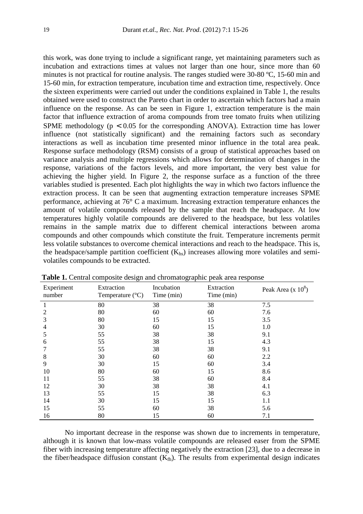this work, was done trying to include a significant range, yet maintaining parameters such as incubation and extractions times at values not larger than one hour, since more than 60 minutes is not practical for routine analysis. The ranges studied were 30-80 ºC, 15-60 min and 15-60 min, for extraction temperature, incubation time and extraction time, respectively. Once the sixteen experiments were carried out under the conditions explained in Table 1, the results obtained were used to construct the Pareto chart in order to ascertain which factors had a main influence on the response. As can be seen in Figure 1, extraction temperature is the main factor that influence extraction of aroma compounds from tree tomato fruits when utilizing SPME methodology ( $p < 0.05$  for the corresponding ANOVA). Extraction time has lower influence (not statistically significant) and the remaining factors such as secondary interactions as well as incubation time presented minor influence in the total area peak. Response surface methodology (RSM) consists of a group of statistical approaches based on variance analysis and multiple regressions which allows for determination of changes in the response, variations of the factors levels, and more important, the very best value for achieving the higher yield. In Figure 2, the response surface as a function of the three variables studied is presented. Each plot highlights the way in which two factors influence the extraction process. It can be seen that augmenting extraction temperature increases SPME performance, achieving at 76° C a maximum. Increasing extraction temperature enhances the amount of volatile compounds released by the sample that reach the headspace. At low temperatures highly volatile compounds are delivered to the headspace, but less volatiles remains in the sample matrix due to different chemical interactions between aroma compounds and other compounds which constitute the fruit. Temperature increments permit less volatile substances to overcome chemical interactions and reach to the headspace. This is, the headspace/sample partition coefficient  $(K<sub>hs</sub>)$  increases allowing more volatiles and semivolatiles compounds to be extracted.

| Experiment<br>number | Extraction<br>Temperature $(^{\circ}C)$ | Incubation<br>Time (min) | Extraction<br>Time (min) | Peak Area (x $10^8$ ) |
|----------------------|-----------------------------------------|--------------------------|--------------------------|-----------------------|
| 1                    | 80                                      | 38                       | 38                       | 7.5                   |
| 2                    | 80                                      | 60                       | 60                       | 7.6                   |
| 3                    | 80                                      | 15                       | 15                       | 3.5                   |
| 4                    | 30                                      | 60                       | 15                       | 1.0                   |
| 5                    | 55                                      | 38                       | 38                       | 9.1                   |
| 6                    | 55                                      | 38                       | 15                       | 4.3                   |
|                      | 55                                      | 38                       | 38                       | 9.1                   |
| 8                    | 30                                      | 60                       | 60                       | 2.2                   |
| 9                    | 30                                      | 15                       | 60                       | 3.4                   |
| 10                   | 80                                      | 60                       | 15                       | 8.6                   |
| 11                   | 55                                      | 38                       | 60                       | 8.4                   |
| 12                   | 30                                      | 38                       | 38                       | 4.1                   |
| 13                   | 55                                      | 15                       | 38                       | 6.3                   |
| 14                   | 30                                      | 15                       | 15                       | 1.1                   |
| 15                   | 55                                      | 60                       | 38                       | 5.6                   |
| 16                   | 80                                      | 15                       | 60                       | 7.1                   |

 **Table 1.** Central composite design and chromatographic peak area response

No important decrease in the response was shown due to increments in temperature, although it is known that low-mass volatile compounds are released easer from the SPME fiber with increasing temperature affecting negatively the extraction [23], due to a decrease in the fiber/headspace diffusion constant  $(K<sub>fh</sub>)$ . The results from experimental design indicates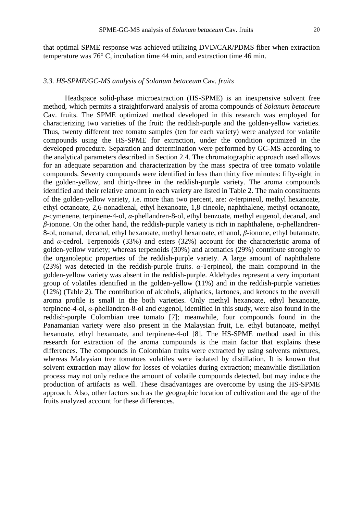that optimal SPME response was achieved utilizing DVD/CAR/PDMS fiber when extraction temperature was 76° C, incubation time 44 min, and extraction time 46 min.

#### *3.3. HS-SPME/GC-MS analysis of Solanum betaceum* Cav. *fruits*

Headspace solid-phase microextraction (HS-SPME) is an inexpensive solvent free method, which permits a straightforward analysis of aroma compounds of *Solanum betaceum* Cav. fruits. The SPME optimized method developed in this research was employed for characterizing two varieties of the fruit: the reddish-purple and the golden-yellow varieties. Thus, twenty different tree tomato samples (ten for each variety) were analyzed for volatile compounds using the HS-SPME for extraction, under the condition optimized in the developed procedure. Separation and determination were performed by GC-MS according to the analytical parameters described in Section 2.4. The chromatographic approach used allows for an adequate separation and characterization by the mass spectra of tree tomato volatile compounds. Seventy compounds were identified in less than thirty five minutes: fifty-eight in the golden-yellow, and thirty-three in the reddish-purple variety. The aroma compounds identified and their relative amount in each variety are listed in Table 2. The main constituents of the golden-yellow variety, i.e. more than two percent, are: *α*-terpineol, methyl hexanoate, ethyl octanoate, 2,6-nonadienal, ethyl hexanoate, 1,8-cineole, naphthalene, methyl octanoate, *p*-cymenene, terpinene-4-ol, *α-*phellandren-8-ol, ethyl benzoate, methyl eugenol, decanal, and *β*-ionone. On the other hand, the reddish-purple variety is rich in naphthalene, α-phellandren-8-ol, nonanal, decanal, ethyl hexanoate, methyl hexanoate, ethanol, *β*-ionone, ethyl butanoate, and *α-*cedrol. Terpenoids (33%) and esters (32%) account for the characteristic aroma of golden-yellow variety; whereas terpenoids (30%) and aromatics (29%) contribute strongly to the organoleptic properties of the reddish-purple variety. A large amount of naphthalene (23%) was detected in the reddish-purple fruits. *α-*Terpineol, the main compound in the golden-yellow variety was absent in the reddish-purple. Aldehydes represent a very important group of volatiles identified in the golden-yellow (11%) and in the reddish-purple varieties (12%) (Table 2). The contribution of alcohols, aliphatics, lactones, and ketones to the overall aroma profile is small in the both varieties. Only methyl hexanoate, ethyl hexanoate, terpinene-4-ol, *α-*phellandren-8-ol and eugenol, identified in this study, were also found in the reddish-purple Colombian tree tomato [7]; meanwhile, four compounds found in the Panamanian variety were also present in the Malaysian fruit, i.e. ethyl butanoate, methyl hexanoate, ethyl hexanoate, and terpinene-4-ol [8]. The HS-SPME method used in this research for extraction of the aroma compounds is the main factor that explains these differences. The compounds in Colombian fruits were extracted by using solvents mixtures, whereas Malaysian tree tomatoes volatiles were isolated by distillation. It is known that solvent extraction may allow for losses of volatiles during extraction; meanwhile distillation process may not only reduce the amount of volatile compounds detected, but may induce the production of artifacts as well. These disadvantages are overcome by using the HS-SPME approach. Also, other factors such as the geographic location of cultivation and the age of the fruits analyzed account for these differences.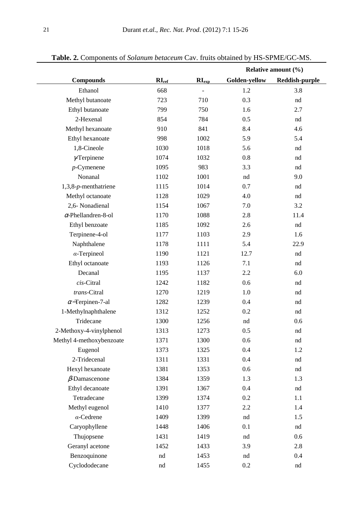|                            |            |                | Relative amount $(\% )$ |                |
|----------------------------|------------|----------------|-------------------------|----------------|
| <b>Compounds</b>           | $RI_{ref}$ | $RI_{\rm exp}$ | Golden-yellow           | Reddish-purple |
| Ethanol                    | 668        | $\blacksquare$ | 1.2                     | 3.8            |
| Methyl butanoate           | 723        | 710            | 0.3                     | nd             |
| Ethyl butanoate            | 799        | 750            | 1.6                     | 2.7            |
| 2-Hexenal                  | 854        | 784            | 0.5                     | nd             |
| Methyl hexanoate           | 910        | 841            | 8.4                     | 4.6            |
| Ethyl hexanoate            | 998        | 1002           | 5.9                     | 5.4            |
| 1,8-Cineole                | 1030       | 1018           | 5.6                     | nd             |
| $\gamma$ Terpinene         | 1074       | 1032           | 0.8                     | nd             |
| $p$ -Cymenene              | 1095       | 983            | 3.3                     | nd             |
| Nonanal                    | 1102       | 1001           | nd                      | 9.0            |
| $1,3,8-p$ -menthatriene    | 1115       | 1014           | 0.7                     | nd             |
| Methyl octanoate           | 1128       | 1029           | 4.0                     | nd             |
| 2,6- Nonadienal            | 1154       | 1067           | 7.0                     | 3.2            |
| $\alpha$ -Phellandren-8-ol | 1170       | 1088           | 2.8                     | 11.4           |
| Ethyl benzoate             | 1185       | 1092           | 2.6                     | nd             |
| Terpinene-4-ol             | 1177       | 1103           | 2.9                     | 1.6            |
| Naphthalene                | 1178       | 1111           | 5.4                     | 22.9           |
| $\alpha$ -Terpineol        | 1190       | 1121           | 12.7                    | nd             |
| Ethyl octanoate            | 1193       | 1126           | 7.1                     | nd             |
| Decanal                    | 1195       | 1137           | 2.2                     | 6.0            |
| cis-Citral                 | 1242       | 1182           | 0.6                     | nd             |
| trans-Citral               | 1270       | 1219           | 1.0                     | nd             |
| $\alpha$ -Terpinen-7-al    | 1282       | 1239           | 0.4                     | nd             |
| 1-Methylnaphthalene        | 1312       | 1252           | 0.2                     | nd             |
| Tridecane                  | 1300       | 1256           | nd                      | 0.6            |
| 2-Methoxy-4-vinylphenol    | 1313       | 1273           | 0.5                     | nd             |
| Methyl 4-methoxybenzoate   | 1371       | 1300           | 0.6                     | nd             |
| Eugenol                    | 1373       | 1325           | 0.4                     | 1.2            |
| 2-Tridecenal               | 1311       | 1331           | 0.4                     | nd             |
| Hexyl hexanoate            | 1381       | 1353           | 0.6                     | nd             |
| $\beta$ -Damascenone       | 1384       | 1359           | 1.3                     | 1.3            |
| Ethyl decanoate            | 1391       | 1367           | 0.4                     | nd             |
| Tetradecane                | 1399       | 1374           | 0.2                     | 1.1            |
| Methyl eugenol             | 1410       | 1377           | 2.2                     | 1.4            |
| $\alpha$ -Cedrene          | 1409       | 1399           | nd                      | 1.5            |
| Caryophyllene              | 1448       | 1406           | 0.1                     | nd             |
| Thujopsene                 | 1431       | 1419           | nd                      | 0.6            |
| Geranyl acetone            | 1452       | 1433           | 3.9                     | 2.8            |
| Benzoquinone               | nd         | 1453           | nd                      | 0.4            |
| Cyclododecane              | nd         | 1455           | 0.2                     | nd             |

## **Table. 2.** Components of *Solanum betaceum* Cav. fruits obtained by HS-SPME/GC-MS.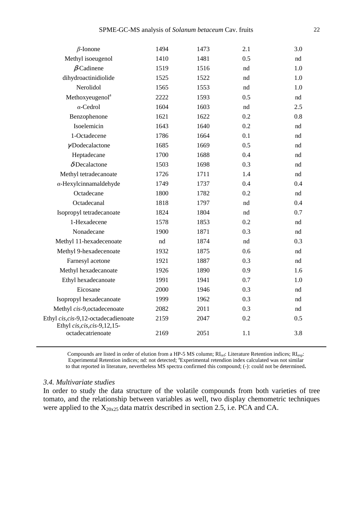| $\beta$ -Ionone                                     | 1494 | 1473 | 2.1 | 3.0         |
|-----------------------------------------------------|------|------|-----|-------------|
| Methyl isoeugenol                                   | 1410 | 1481 | 0.5 | nd          |
| $\beta$ -Cadinene                                   | 1519 | 1516 | nd  | 1.0         |
| dihydroactinidiolide                                | 1525 | 1522 | nd  | 1.0         |
| Nerolidol                                           | 1565 | 1553 | nd  | 1.0         |
| Methoxyeugenol <sup>a</sup>                         | 2222 | 1593 | 0.5 | nd          |
| $\alpha$ -Cedrol                                    | 1604 | 1603 | nd  | 2.5         |
| Benzophenone                                        | 1621 | 1622 | 0.2 | 0.8         |
| Isoelemicin                                         | 1643 | 1640 | 0.2 | nd          |
| 1-Octadecene                                        | 1786 | 1664 | 0.1 | nd          |
| γDodecalactone                                      | 1685 | 1669 | 0.5 | $^{\rm nd}$ |
| Heptadecane                                         | 1700 | 1688 | 0.4 | nd          |
| $\delta$ -Decalactone                               | 1503 | 1698 | 0.3 | nd          |
| Methyl tetradecanoate                               | 1726 | 1711 | 1.4 | nd          |
| $\alpha$ -Hexylcinnamaldehyde                       | 1749 | 1737 | 0.4 | 0.4         |
| Octadecane                                          | 1800 | 1782 | 0.2 | nd          |
| Octadecanal                                         | 1818 | 1797 | nd  | 0.4         |
| Isopropyl tetradecanoate                            | 1824 | 1804 | nd  | 0.7         |
| 1-Hexadecene                                        | 1578 | 1853 | 0.2 | nd          |
| Nonadecane                                          | 1900 | 1871 | 0.3 | nd          |
| Methyl 11-hexadecenoate                             | nd   | 1874 | nd  | 0.3         |
| Methyl 9-hexadecenoate                              | 1932 | 1875 | 0.6 | nd          |
| Farnesyl acetone                                    | 1921 | 1887 | 0.3 | nd          |
| Methyl hexadecanoate                                | 1926 | 1890 | 0.9 | 1.6         |
| Ethyl hexadecanoate                                 | 1991 | 1941 | 0.7 | 1.0         |
| Eicosane                                            | 2000 | 1946 | 0.3 | nd          |
| Isopropyl hexadecanoate                             | 1999 | 1962 | 0.3 | nd          |
| Methyl cis-9, octadecenoate                         | 2082 | 2011 | 0.3 | nd          |
| Ethyl cis, cis-9,12-octadecadienoate                | 2159 | 2047 | 0.2 | 0.5         |
| Ethyl cis, cis, cis-9, 12, 15-<br>octadecatrienoate | 2169 | 2051 | 1.1 | 3.8         |
|                                                     |      |      |     |             |

Compounds are listed in order of elution from a HP-5 MS column; RI<sub>ref</sub>: Literature Retention indices; RI<sub>exp</sub>: Experimental Retention indices; nd: not detected; <sup>a</sup>Experimental retendion index calculated was not similar to that reported in literature, nevertheless MS spectra confirmed this compound; (-): could not be determined**.**

#### *3.4. Multivariate studies*

In order to study the data structure of the volatile compounds from both varieties of tree tomato, and the relationship between variables as well, two display chemometric techniques were applied to the  $X_{20x25}$  data matrix described in section 2.5, i.e. PCA and CA.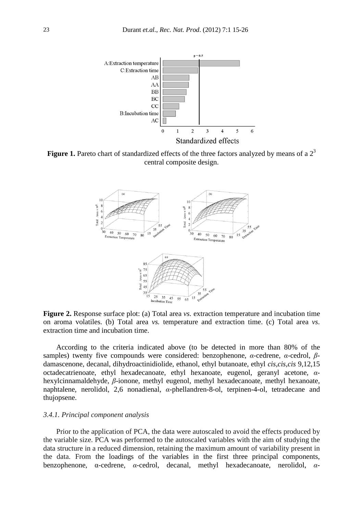

**Figure 1.** Pareto chart of standardized effects of the three factors analyzed by means of a  $2<sup>3</sup>$ central composite design.



**Figure 2.** Response surface plot: (a) Total area *vs.* extraction temperature and incubation time on aroma volatiles. (b) Total area *vs.* temperature and extraction time. (c) Total area *vs*. extraction time and incubation time.

According to the criteria indicated above (to be detected in more than 80% of the samples) twenty five compounds were considered: benzophenone, *α-*cedrene, *α-*cedrol, *β*damascenone, decanal, dihydroactinidiolide, ethanol, ethyl butanoate, ethyl *cis,cis,cis* 9,12,15 octadecatrienoate, ethyl hexadecanoate, ethyl hexanoate, eugenol, geranyl acetone, *α*hexylcinnamaldehyde, *β*-ionone, methyl eugenol, methyl hexadecanoate, methyl hexanoate, naphtalene, nerolidol, 2,6 nonadienal, *α-*phellandren-8-ol, terpinen-4-ol, tetradecane and thujopsene.

#### *3.4.1. Principal component analysis*

Prior to the application of PCA, the data were autoscaled to avoid the effects produced by the variable size. PCA was performed to the autoscaled variables with the aim of studying the data structure in a reduced dimension, retaining the maximum amount of variability present in the data. From the loadings of the variables in the first three principal components, benzophenone, α-cedrene*, α-*cedrol, decanal, methyl hexadecanoate, nerolidol, *α-*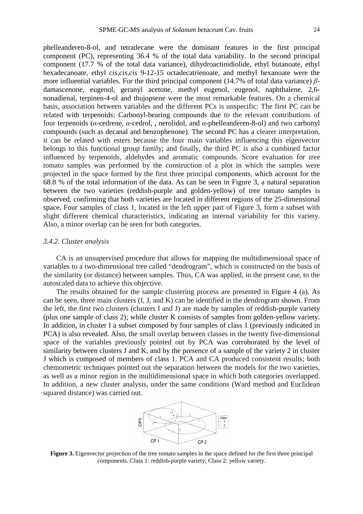phelleanderen-8-ol, and tetradecane were the dominant features in the first principal component (PC), representing 36.4 % of the total data variability. In the second principal component (17.7 % of the total data variance), dihydroactinidiolide, ethyl butanoate, ethyl hexadecanoate, ethyl *cis,cis,cis* 9-12-15 octadecatrienoate, and methyl hexanoate were the more influential variables. For the third principal component (14.7% of total data variance) *β*damascenone, eugenol, geranyl acetone, methyl eugenol, eugenol, naphthalene, 2,6 nonadienal, terpinen-4-ol and thujopsene were the most remarkable features. On a chemical basis, association between variables and the different PCs is unspecific: The first PC can be related with terpenoids: Carbonyl-bearing compounds due to the relevant contributions of four terpenoids (*α-*cedrene, *α*-cedrol, , nerolidol, and *α-*phelleanderen-8-ol) and two carbonyl compounds (such as decanal and benzophenone). The second PC has a clearer interpretation, it can be related with esters because the four main variables influencing this eigenvector belongs to this functional group family; and finally, the third PC is also a combined factor influenced by terpenoids, aldehydes and aromatic compounds. Score evaluation for tree tomato samples was performed by the construction of a plot in which the samples were projected in the space formed by the first three principal components, which account for the 68.8 % of the total information of the data. As can be seen in Figure 3, a natural separation between the two varieties (reddish-purple and golden-yellow) of tree tomato samples is observed, confirming that both varieties are located in different regions of the 25-dimensional space. Four samples of class 1, located in the left upper part of Figure 3, form a subset with slight different chemical characteristics, indicating an internal variability for this variety. Also, a minor overlap can be seen for both categories.

#### *3.4.2. Cluster analysis*

CA is an unsupervised procedure that allows for mapping the multidimensional space of variables to a two-dimensional tree called "dendrogram", which is constructed on the basis of the similarity (or distance) between samples. Thus, CA was applied, in the present case, to the autoscaled data to achieve this objective.

The results obtained for the sample clustering process are presented in Figure 4 (a). As can be seen, three main clusters (I, J, and K) can be identified in the dendrogram shown. From the left, the first two clusters (clusters I and J) are made by samples of reddish-purple variety (plus one sample of class 2); while cluster K consists of samples from golden-yellow variety. In addition, in cluster I a subset composed by four samples of class 1 (previously indicated in PCA) is also revealed. Also, the small overlap between classes in the twenty five-dimensional space of the variables previously pointed out by PCA was corroborated by the level of similarity between clusters J and K, and by the presence of a sample of the variety 2 in cluster J which is composed of members of class 1. PCA and CA produced consistent results; both chemometric techniques pointed out the separation between the models for the two varieties, as well as a minor region in the multidimensional space in which both categories overlapped. In addition, a new cluster analysis, under the same conditions (Ward method and Euclidean squared distance) was carried out.



**Figure 3.** Eigenvector projection of the tree tomato samples in the space defined for the first three principal components. Class 1: reddish-purple variety; Class 2: yellow variety.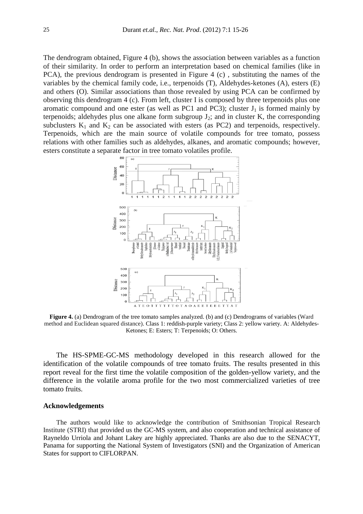The dendrogram obtained, Figure 4 (b), shows the association between variables as a function of their similarity. In order to perform an interpretation based on chemical families (like in PCA), the previous dendrogram is presented in Figure 4 (c) , substituting the names of the variables by the chemical family code, i.e., terpenoids (T), Aldehydes-ketones (A), esters (E) and others (O). Similar associations than those revealed by using PCA can be confirmed by observing this dendrogram 4 (c). From left, cluster I is composed by three terpenoids plus one aromatic compound and one ester (as well as PC1 and PC3); cluster  $J_1$  is formed mainly by terpenoids; aldehydes plus one alkane form subgroup  $J_2$ ; and in cluster K, the corresponding subclusters  $K_1$  and  $K_2$  can be associated with esters (as PC2) and terpenoids, respectively. Terpenoids, which are the main source of volatile compounds for tree tomato, possess relations with other families such as aldehydes, alkanes, and aromatic compounds; however, esters constitute a separate factor in tree tomato volatiles profile.



**Figure 4.** (a) Dendrogram of the tree tomato samples analyzed. (b) and (c) Dendrograms of variables (Ward method and Euclidean squared distance). Class 1: reddish-purple variety; Class 2: yellow variety. A: Aldehydes-Ketones; E: Esters; T: Terpenoids; O: Others.

The HS-SPME-GC-MS methodology developed in this research allowed for the identification of the volatile compounds of tree tomato fruits. The results presented in this report reveal for the first time the volatile composition of the golden-yellow variety, and the difference in the volatile aroma profile for the two most commercialized varieties of tree tomato fruits.

#### **Acknowledgements**

The authors would like to acknowledge the contribution of Smithsonian Tropical Research Institute (STRI) that provided us the GC-MS system, and also cooperation and technical assistance of Rayneldo Urriola and Johant Lakey are highly appreciated. Thanks are also due to the SENACYT, Panama for supporting the National System of Investigators (SNI) and the Organization of American States for support to CIFLORPAN.